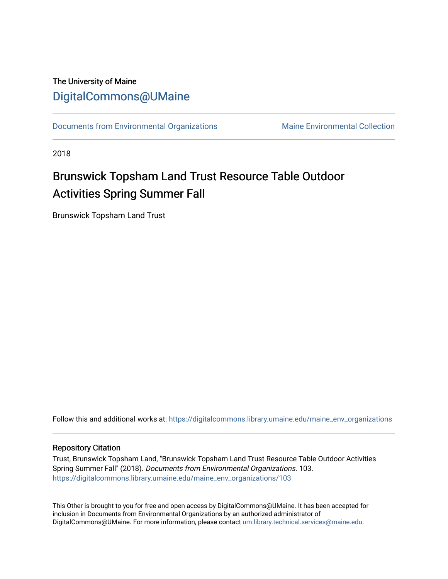## The University of Maine [DigitalCommons@UMaine](https://digitalcommons.library.umaine.edu/)

[Documents from Environmental Organizations](https://digitalcommons.library.umaine.edu/maine_env_organizations) Maine Environmental Collection

2018

## Brunswick Topsham Land Trust Resource Table Outdoor Activities Spring Summer Fall

Brunswick Topsham Land Trust

Follow this and additional works at: [https://digitalcommons.library.umaine.edu/maine\\_env\\_organizations](https://digitalcommons.library.umaine.edu/maine_env_organizations?utm_source=digitalcommons.library.umaine.edu%2Fmaine_env_organizations%2F103&utm_medium=PDF&utm_campaign=PDFCoverPages)

## Repository Citation

Trust, Brunswick Topsham Land, "Brunswick Topsham Land Trust Resource Table Outdoor Activities Spring Summer Fall" (2018). Documents from Environmental Organizations. 103. [https://digitalcommons.library.umaine.edu/maine\\_env\\_organizations/103](https://digitalcommons.library.umaine.edu/maine_env_organizations/103?utm_source=digitalcommons.library.umaine.edu%2Fmaine_env_organizations%2F103&utm_medium=PDF&utm_campaign=PDFCoverPages)

This Other is brought to you for free and open access by DigitalCommons@UMaine. It has been accepted for inclusion in Documents from Environmental Organizations by an authorized administrator of DigitalCommons@UMaine. For more information, please contact [um.library.technical.services@maine.edu](mailto:um.library.technical.services@maine.edu).